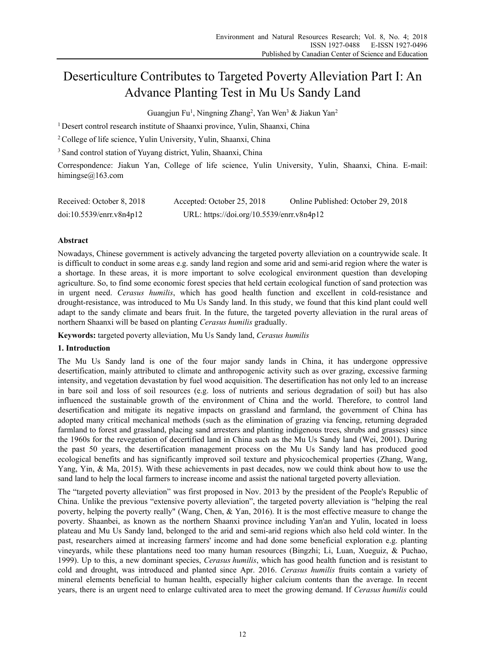# Deserticulture Contributes to Targeted Poverty Alleviation Part I: An Advance Planting Test in Mu Us Sandy Land

Guangjun Fu<sup>1</sup>, Ningning Zhang<sup>2</sup>, Yan Wen<sup>3</sup> & Jiakun Yan<sup>2</sup>

<sup>1</sup> Desert control research institute of Shaanxi province, Yulin, Shaanxi, China

2 College of life science, Yulin University, Yulin, Shaanxi, China

3 Sand control station of Yuyang district, Yulin, Shaanxi, China

Correspondence: Jiakun Yan, College of life science, Yulin University, Yulin, Shaanxi, China. E-mail: himingse@163.com

| Received: October 8, 2018 | Accepted: October 25, 2018                | Online Published: October 29, 2018 |
|---------------------------|-------------------------------------------|------------------------------------|
| doi:10.5539/enrr.v8n4p12  | URL: https://doi.org/10.5539/enrr.v8n4p12 |                                    |

# **Abstract**

Nowadays, Chinese government is actively advancing the targeted poverty alleviation on a countrywide scale. It is difficult to conduct in some areas e.g. sandy land region and some arid and semi-arid region where the water is a shortage. In these areas, it is more important to solve ecological environment question than developing agriculture. So, to find some economic forest species that held certain ecological function of sand protection was in urgent need. *Cerasus humilis*, which has good health function and excellent in cold-resistance and drought-resistance, was introduced to Mu Us Sandy land. In this study, we found that this kind plant could well adapt to the sandy climate and bears fruit. In the future, the targeted poverty alleviation in the rural areas of northern Shaanxi will be based on planting *Cerasus humilis* gradually.

**Keywords:** targeted poverty alleviation, Mu Us Sandy land, *Cerasus humilis*

# **1. Introduction**

The Mu Us Sandy land is one of the four major sandy lands in China, it has undergone oppressive desertification, mainly attributed to climate and anthropogenic activity such as over grazing, excessive farming intensity, and vegetation devastation by fuel wood acquisition. The desertification has not only led to an increase in bare soil and loss of soil resources (e.g. loss of nutrients and serious degradation of soil) but has also influenced the sustainable growth of the environment of China and the world. Therefore, to control land desertification and mitigate its negative impacts on grassland and farmland, the government of China has adopted many critical mechanical methods (such as the elimination of grazing via fencing, returning degraded farmland to forest and grassland, placing sand arresters and planting indigenous trees, shrubs and grasses) since the 1960s for the revegetation of decertified land in China such as the Mu Us Sandy land (Wei, 2001). During the past 50 years, the desertification management process on the Mu Us Sandy land has produced good ecological benefits and has significantly improved soil texture and physicochemical properties (Zhang, Wang, Yang, Yin, & Ma, 2015). With these achievements in past decades, now we could think about how to use the sand land to help the local farmers to increase income and assist the national targeted poverty alleviation.

The "targeted poverty alleviation" was first proposed in Nov. 2013 by the president of the People's Republic of China. Unlike the previous "extensive poverty alleviation", the targeted poverty alleviation is "helping the real poverty, helping the poverty really" (Wang, Chen, & Yan, 2016). It is the most effective measure to change the poverty. Shaanbei, as known as the northern Shaanxi province including Yan'an and Yulin, located in loess plateau and Mu Us Sandy land, belonged to the arid and semi-arid regions which also held cold winter. In the past, researchers aimed at increasing farmers' income and had done some beneficial exploration e.g. planting vineyards, while these plantations need too many human resources (Bingzhi; Li, Luan, Xueguiz, & Puchao, 1999). Up to this, a new dominant species, *Cerasus humilis*, which has good health function and is resistant to cold and drought, was introduced and planted since Apr. 2016. *Cerasus humilis* fruits contain a variety of mineral elements beneficial to human health, especially higher calcium contents than the average. In recent years, there is an urgent need to enlarge cultivated area to meet the growing demand. If *Cerasus humilis* could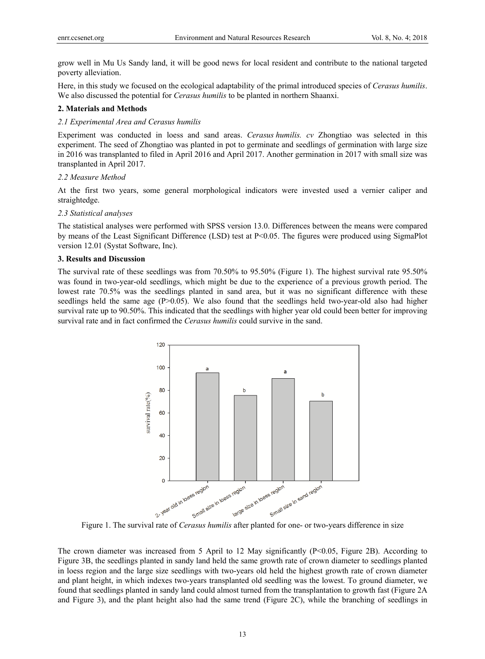grow well in Mu Us Sandy land, it will be good news for local resident and contribute to the national targeted poverty alleviation.

Here, in this study we focused on the ecological adaptability of the primal introduced species of *Cerasus humilis*. We also discussed the potential for *Cerasus humilis* to be planted in northern Shaanxi.

## **2. Materials and Methods**

## *2.1 Experimental Area and Cerasus humilis*

Experiment was conducted in loess and sand areas. *Cerasus humilis. cv* Zhongtiao was selected in this experiment. The seed of Zhongtiao was planted in pot to germinate and seedlings of germination with large size in 2016 was transplanted to filed in April 2016 and April 2017. Another germination in 2017 with small size was transplanted in April 2017.

#### *2.2 Measure Method*

At the first two years, some general morphological indicators were invested used a vernier caliper and straightedge.

#### *2.3 Statistical analyses*

The statistical analyses were performed with SPSS version 13.0. Differences between the means were compared by means of the Least Significant Difference (LSD) test at P<0.05. The figures were produced using SigmaPlot version 12.01 (Systat Software, Inc).

# **3. Results and Discussion**

The survival rate of these seedlings was from 70.50% to 95.50% (Figure 1). The highest survival rate 95.50% was found in two-year-old seedlings, which might be due to the experience of a previous growth period. The lowest rate 70.5% was the seedlings planted in sand area, but it was no significant difference with these seedlings held the same age (P>0.05). We also found that the seedlings held two-year-old also had higher survival rate up to 90.50%. This indicated that the seedlings with higher year old could been better for improving survival rate and in fact confirmed the *Cerasus humilis* could survive in the sand.



The crown diameter was increased from 5 April to 12 May significantly (P<0.05, Figure 2B). According to Figure 3B, the seedlings planted in sandy land held the same growth rate of crown diameter to seedlings planted in loess region and the large size seedlings with two-years old held the highest growth rate of crown diameter and plant height, in which indexes two-years transplanted old seedling was the lowest. To ground diameter, we found that seedlings planted in sandy land could almost turned from the transplantation to growth fast (Figure 2A and Figure 3), and the plant height also had the same trend (Figure 2C), while the branching of seedlings in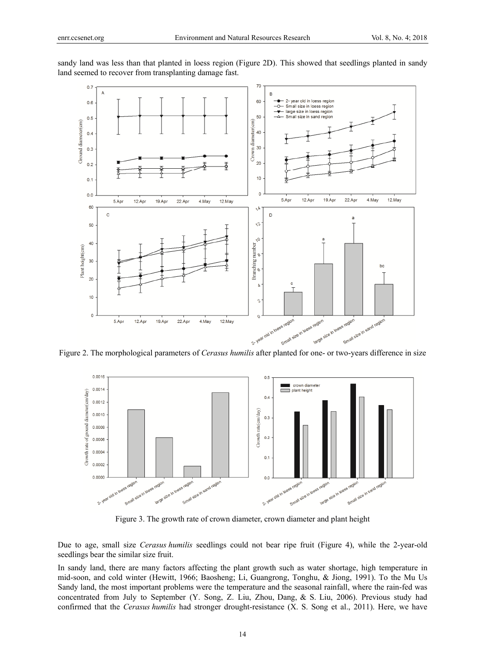

sandy land was less than that planted in loess region (Figure 2D). This showed that seedlings planted in sandy land seemed to recover from transplanting damage fast.

Figure 2. The morphological parameters of *Cerasus humilis* after planted for one- or two-years difference in size



Figure 3. The growth rate of crown diameter, crown diameter and plant height

Due to age, small size *Cerasus humilis* seedlings could not bear ripe fruit (Figure 4), while the 2-year-old seedlings bear the similar size fruit.

In sandy land, there are many factors affecting the plant growth such as water shortage, high temperature in mid-soon, and cold winter (Hewitt, 1966; Baosheng; Li, Guangrong, Tonghu, & Jiong, 1991). To the Mu Us Sandy land, the most important problems were the temperature and the seasonal rainfall, where the rain-fed was concentrated from July to September (Y. Song, Z. Liu, Zhou, Dang, & S. Liu, 2006). Previous study had confirmed that the *Cerasus humilis* had stronger drought-resistance (X. S. Song et al., 2011). Here, we have